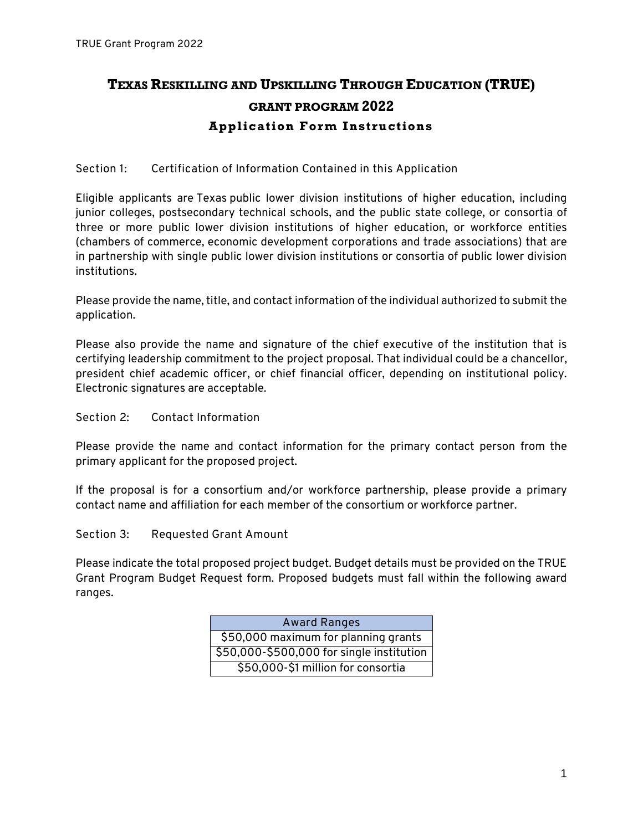## **TEXAS RESKILLING AND UPSKILLING THROUGH EDUCATION (TRUE) GRANT PROGRAM 2022 Application Form Instructions**

## **Section 1: Certification of Information Contained in this Application**

Eligible applicants are Texas public lower division institutions of higher education, including junior colleges, postsecondary technical schools, and the public state college, or consortia of three or more public lower division institutions of higher education, or workforce entities (chambers of commerce, economic development corporations and trade associations) that are in partnership with single public lower division institutions or consortia of public lower division institutions.

Please provide the name, title, and contact information of the individual authorized to submit the application.

Please also provide the name and signature of the chief executive of the institution that is certifying leadership commitment to the project proposal. That individual could be a chancellor, president chief academic officer, or chief financial officer, depending on institutional policy. Electronic signatures are acceptable.

**Section 2: Contact Information**

Please provide the name and contact information for the primary contact person from the primary applicant for the proposed project.

If the proposal is for a consortium and/or workforce partnership, please provide a primary contact name and affiliation for each member of the consortium or workforce partner.

**Section 3: Requested Grant Amount**

Please indicate the total proposed project budget. Budget details must be provided on the TRUE Grant Program Budget Request form. Proposed budgets must fall within the following award ranges.

| <b>Award Ranges</b>                       |
|-------------------------------------------|
| \$50,000 maximum for planning grants      |
| \$50,000-\$500,000 for single institution |
| \$50,000-\$1 million for consortia        |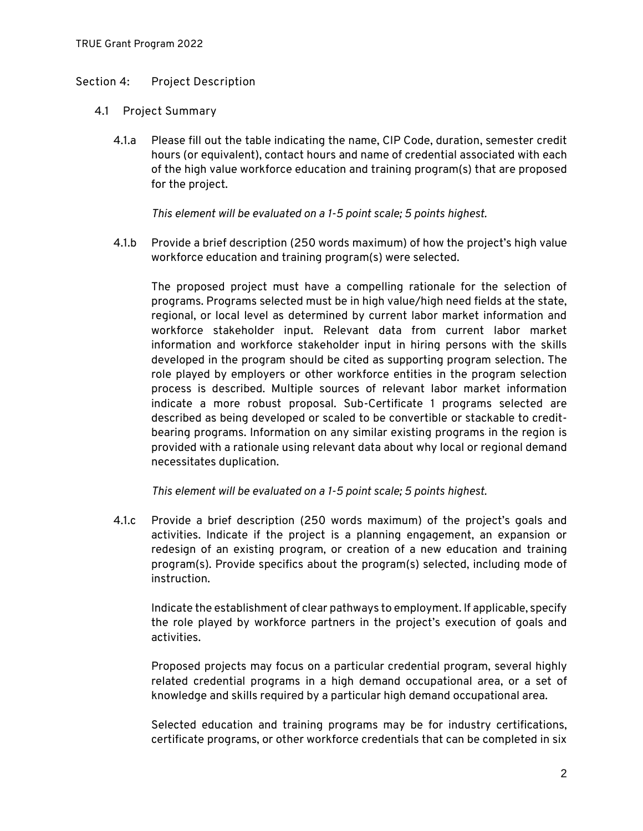## **Section 4: Project Description**

- **4.1 Project Summary**
	- 4.1.a Please fill out the table indicating the name, CIP Code, duration, semester credit hours (or equivalent), contact hours and name of credential associated with each of the high value workforce education and training program(s) that are proposed for the project.

*This element will be evaluated on a 1-5 point scale; 5 points highest.*

4.1.b Provide a brief description (250 words maximum) of how the project's high value workforce education and training program(s) were selected.

The proposed project must have a compelling rationale for the selection of programs. Programs selected must be in high value/high need fields at the state, regional, or local level as determined by current labor market information and workforce stakeholder input. Relevant data from current labor market information and workforce stakeholder input in hiring persons with the skills developed in the program should be cited as supporting program selection. The role played by employers or other workforce entities in the program selection process is described. Multiple sources of relevant labor market information indicate a more robust proposal. Sub-Certificate 1 programs selected are described as being developed or scaled to be convertible or stackable to creditbearing programs. Information on any similar existing programs in the region is provided with a rationale using relevant data about why local or regional demand necessitates duplication.

*This element will be evaluated on a 1-5 point scale; 5 points highest.*

4.1.c Provide a brief description (250 words maximum) of the project's goals and activities. Indicate if the project is a planning engagement, an expansion or redesign of an existing program, or creation of a new education and training program(s). Provide specifics about the program(s) selected, including mode of instruction.

Indicate the establishment of clear pathways to employment. If applicable, specify the role played by workforce partners in the project's execution of goals and activities.

Proposed projects may focus on a particular credential program, several highly related credential programs in a high demand occupational area, or a set of knowledge and skills required by a particular high demand occupational area.

Selected education and training programs may be for industry certifications, certificate programs, or other workforce credentials that can be completed in six